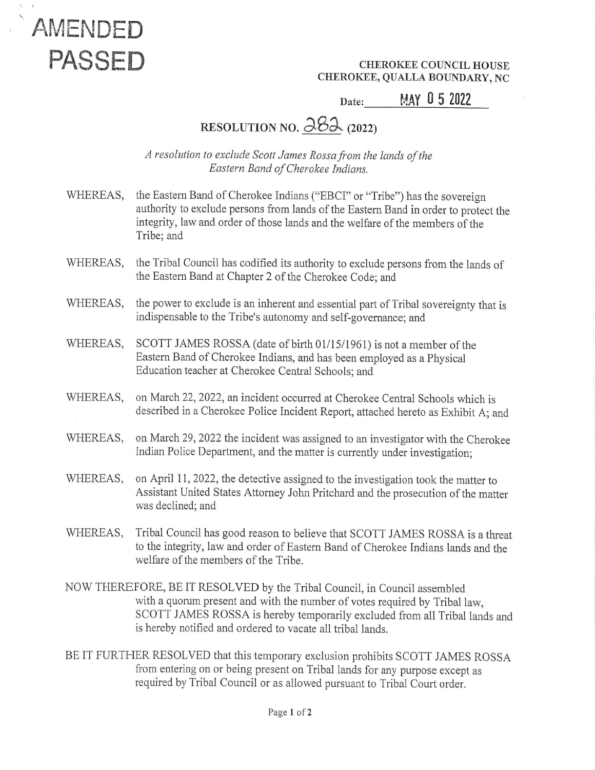

CHEROKEE, QUALLA BOUNDARY, NC

## Date: MAY 0 5 2022

## RESOLUTION NO.  $\frac{\partial 8}{\partial 1}$  (2022)

A resolution to exclude Scott James Rossa from the lands of the Eastern Band of Cherokee Indians.

- WHEREAS, the Eastern Band of Cherokee Indians ("EBCI" or "Tribe") has the sovereign authority to exclude persons from lands of the Eastern Band in order to protect the integrity, law and order of those lands and the welfare of the members of the Tribe; and
- WHEREAS, the Tribal Council has codified its authority to exclude persons from the lands of the Eastern Band at Chapter 2 of the Cherokee Code; and
- WHEREAS, the power to exclude is an inherent and essential part of Tribal sovereignty that is indispensable to the Tribe's autonomy and self-governance; and
- WHEREAS, SCOTT JAMES ROSSA (date of birth 01/15/1961) is not a member of the Eastern Band of Cherokee Indians, and has been employed as a Physical Education teacher at Cherokee Central Schools; and
- WHEREAS, on March 22, 2022, an incident occurred at Cherokee Central Schools which is described in a Cherokee Police Incident Report, attached hereto as Exhibit A; and
- WHEREAS, on March 29, 2022 the incident was assigned to an investigator with the Cherokee Indian Police Department, and the matter is currently under investigation;
- WHEREAS, on April 11, 2022, the detective assigned to the investigation took the matter to Assistant United States Attorney John Pritchard and the prosecution of the matter was declined; and
- WHEREAS, Tribal Council has good reason to believe that SCOTT JAMES ROSSA is a threat to the integrity, law and order of Eastern Band of Cherokee Indians lands and the welfare of the members of the Tribe.
- NOW THEREFORE, BE IT RESOLVED by the Tribal Council, in Council assembled with a quorum present and with the number of votes required by Tribal law, SCOTT JAMES ROSSA is hereby temporarily excluded from all Tribal lands and is hereby notified and ordered to vacate all tribal lands.
- BE IT FURTHER RESOLVED that this temporary exclusion prohibits SCOTT JAMES ROSSA from entering on or being present on Tribal lands for any purpose except as required by Tribal Council or as allowed pursuant to Tribal Court order.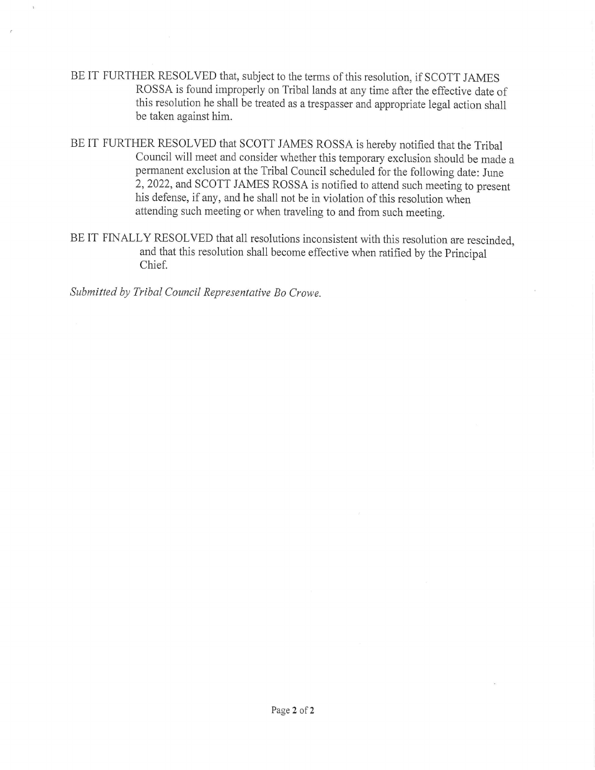- BE IT FURTHER RESOLVED that, subject to the terms of this resolution, if SCOTT JAMES<br>ROSSA is found improperly on Tribal lands at any time after the effective date of<br>this resolution he shall be treated as a trespasser and be taken against him.
- BE IT FURTHER RESOLVED that SCOTT JAMES ROSSA is hereby notified that the Tribal<br>Council will meet and consider whether this temporary exclusion should be made a<br>permanent exclusion at the Tribal Council scheduled for the his defense, if any, and he shall not be in violation of this resolution when attending such meeting or when traveling to and from such meeting.
- BEIT FINALLY RESOLVED that all resolutions inconsistent with this resolution are rescinded and that this resolution shall become effective when ratified by the Principal and that this resolution shall become effective when ratified by the Principal Chief. >

Submitted by Tribal Council Representative Bo Crowe.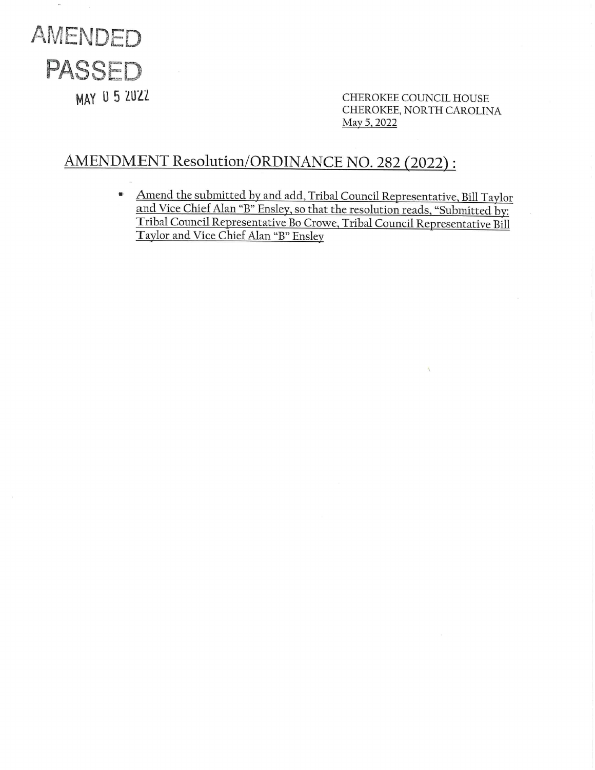

 $\mathbf{r}$ 

MAY U 5 2UZZ<br>CHEROKEE COUNCIL HOUSE<br>CHEROKEE, NORTH CAROLINA May 5, 2022

## AMENDMENT Resolution/ORDINANCE NO. 282 (2022) :

= Amend the submitted by and add, Tribal Council Representative, Bill Taylor and Vice Chief Alan "B" Ensley, so that the resolution reads, "Submitted by: 'Tribal Council Representative Bo Crowe, Tribal Council Representative Bill 'Taylor and Vice Chief Alan "B" Ensley